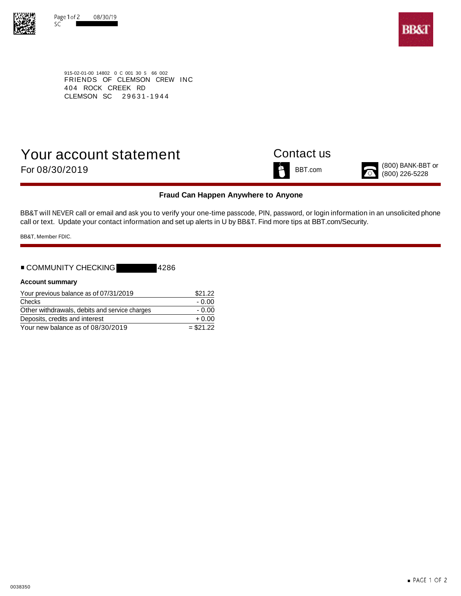



915-02-01-00 14802 0 C 001 30 S 66 002 FRIENDS OF CLEMSON CREW INC 404 ROCK CREEK RD CLEMSON SC 29631-1944

# Your account statement Contact us (800) BANK-BBT or For 08/30/2019 BBT.com (800) 226-5228



### **Fraud Can Happen Anywhere to Anyone**

BB&T will NEVER call or email and ask you to verify your one-time passcode, PIN, password, or login information in an unsolicited phone call or text. Update your contact information and set up alerts in U by BB&T. Find more tips at BBT.com/Security.

BB&T, Member FDIC.

## ■ COMMUNITY CHECKING 4286

### **Account summary**

| Your previous balance as of 07/31/2019        | \$21.22    |
|-----------------------------------------------|------------|
| Checks                                        | - 0.00     |
| Other withdrawals, debits and service charges | - 0.00     |
| Deposits, credits and interest                | $+0.00$    |
| Your new balance as of 08/30/2019             | $= $21.22$ |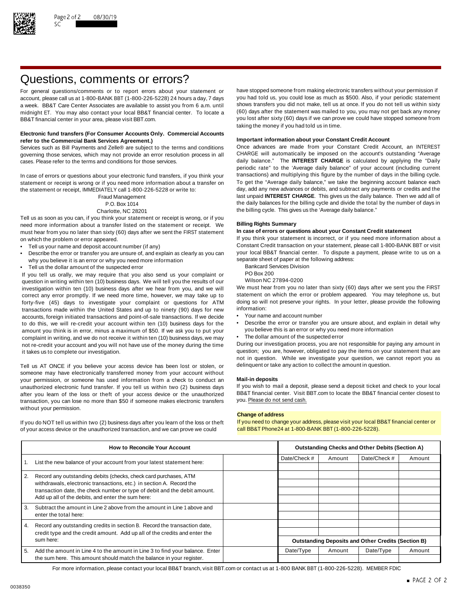

## Questions, comments or errors?

account, please call us at 1-800-BANK BBT (1-800-226-5228) 24 hours a day, 7 days midnight ET. You may also contact your local BB&T financial center. To locate a BB&T financial center in your area, please visit BBT.com. The state of the state of the state of the state of the state of the state of the state of the state of the state of the state of the state of the state of the stat

### **Electronic fund transfers (For Consumer Accounts Only. Commercial Accounts Important information about your Constant Credit Account refer to the Commercial Bank Services Agreement.)**

governing those services, which may not provide an error resolution process in all CHARGE will automatically be imposed on the account's outstanding "Average cases. Please refer to the terms and conditions for those services. daily balance." The **INTEREST CHARGE** is calculated by applying the "Daily

statement or receipt is wrong or if you need more information about a transfer on To get the "Average daily balance," we take the beginning account balance each<br>the statement or receipt IMMFDIATFLY call 1-800-226-5228 or w the statement or receipt, IMMEDIATELY call 1-800-226-5228 or write to:

Tell us as soon as you can, if you think your statement or receipt is wrong, or if you need more information about a transfer listed on the statement or receipt. We **Billing Rights Summary** must hear from you no later than sixty (60) days after we sent the FIRST statement on which the problem or error appeared. If you think your statement is incorrect, or if you need more information about a

- 
- Describe the error or transfer you are unsure of, and explain as clearly as you can your local BB&T financial center. To dispute a why you believe it is an error or why you need more information why you believe it is an error or why you need more information<br>Tell us the dollar amount of the suspected error and the following address Division
- Fell us the dollar amount of the suspected error<br>Vou tell us orally we may require that you also send us your complaint or BO Box 200

If you tell us orally, we may require that you also send us your complaint or PO Box 200<br>question in writing within ten (10) business days. We will tell you the results of our Wilson NC 27894-0200 question in writing within ten (10) business days. We will tell you the results of our Wilson NC 27894-0200<br>investigation within ten (10) business days after we hear from you, and we will We must hear from you no later tha investigation within ten (10) business days after we hear from you, and we will We must hear from you no later than sixty (60) days after we sent you the FIRST<br>correct any error promptly. If we need more time, however, we correct any error promptly. If we need more time, however, we may take up to statement on which the error or problem appeared. You may telephone us, but If or the endlowing to the more time, however, we may take up to the forty-five (45) days to investigate your complaint or questions for ATM doing so will<br>transactions made within the United States and up to pinety (90) days for new information: transactions made within the United States and up to ninety (90) days for new information:<br>accounts foreign initiated transactions and point-of-sale transactions. If we decide • Your name and account number accounts, foreign initiated transactions and point-of-sale transactions. If we decide amount you think is in error, minus a maximum of \$50. If we ask you to put your complaint in writing, and we do not receive it within ten (10) business days, we may • The dollar amount of the suspected error not re-credit your account and you will not have use of the money during the time During our investigation process, you are not responsible for paying any amount in

Tell us AT ONCE if you believe your access device has been lost or stolen, or delinquent or take any action to collect the amount in question. someone may have electronically transferred money from your account without your permission, or someone has used information from a check to conduct an **Mail-in deposits** unauthorized electronic fund transfer. If you tell us within two (2) business days If you wish to mail a deposit, please send a deposit ticket and check to your local after vou learn of the loss or theft of your access dev after you learn of the loss or theft of your access device or the unauthorized BB&T financial center. Visit l<br>transaction, you can lose no more than \$50 if someone makes electronic transfers you. Please do not send cash. transaction, you can lose no more than \$50 if someone makes electronic transfers without your permission.

of your access device or the unauthorized transaction, and we can prove we could call BB&T Phone24 at 1-800-BANK BBT (1-800-226-5228).

For general questions/comments or to report errors about your statement or have stopped someone from making electronic transfers without your permission if account please call us at 1-800-BANK BBT (1-800-226-5228) 24 hours a week. BB&T Care Center Associates are available to assist you from 6 a.m. until shows transfers you did not make, tell us at once. If you do not tell us within sixty<br>midnight FT You may also contact your local BB&T finan taking the money if you had told us in time.

Services such as Bill Payments and Zelle® are subject to the terms and conditions Once advances are made from your Constant Credit Account, an INTEREST periodic rate" to the 'Average daily balance" of your account (including current In case of errors or questions about your electronic fund transfers, if you think your transactions) and multiplying this figure by the number of days in the billing cycle.<br>Statement or receipt is wrong or if you need more Fraud Management last unpaid **INTEREST CHARGE**. This gives us the daily balance. Then we add all of P.O. Box 1014 the daily balances for the billing cycle and divide the total by the number of days in Charlotte, NC 28201 **the billing cycle.** This gives us the 'Average daily balance."

Tell us your name and deposit account number (if any)<br>Constant Credit transaction on your statement, please call 1-800-BANK BBT or visit • Constant Credit transaction on your statement, please call 1-800-BANK BBT or visit

- 
- 
- 

- 
- to do this, we will re-credit your account within ten (10) business days for the Describe the error or transfer you are unsure about, and explain in detail why<br>amount you think is in error, minus a maximum of \$50. If we
	-

it takes us to complete our investigation. The statement of the statement that are question; you are, however, obligated to pay the items on your statement that are not in question. While we investigate your question, we cannot report you as

### **Change of address**

If you do NOT tell us within two (2) business days after you learn of the loss or theft If you need to change your address, please visit your local BB&T financial center or

| <b>How to Reconcile Your Account</b> |                                                                                                                                                                                                        | <b>Outstanding Checks and Other Debits (Section A)</b> |                                                           |              |           |        |
|--------------------------------------|--------------------------------------------------------------------------------------------------------------------------------------------------------------------------------------------------------|--------------------------------------------------------|-----------------------------------------------------------|--------------|-----------|--------|
|                                      | List the new balance of your account from your latest statement here:                                                                                                                                  | Date/Check #                                           | Amount                                                    | Date/Check # | Amount    |        |
|                                      |                                                                                                                                                                                                        |                                                        |                                                           |              |           |        |
| 2.                                   | Record any outstanding debits (checks, check card purchases, ATM                                                                                                                                       |                                                        |                                                           |              |           |        |
|                                      | withdrawals, electronic transactions, etc.) in section A. Record the<br>transaction date, the check number or type of debit and the debit amount.<br>Add up all of the debits, and enter the sum here: |                                                        |                                                           |              |           |        |
|                                      |                                                                                                                                                                                                        |                                                        |                                                           |              |           |        |
|                                      |                                                                                                                                                                                                        |                                                        |                                                           |              |           |        |
| 3.                                   | Subtract the amount in Line 2 above from the amount in Line 1 above and                                                                                                                                |                                                        |                                                           |              |           |        |
|                                      | enter the total here:                                                                                                                                                                                  |                                                        |                                                           |              |           |        |
| 4.                                   | Record any outstanding credits in section B. Record the transaction date,                                                                                                                              |                                                        |                                                           |              |           |        |
|                                      | credit type and the credit amount. Add up all of the credits and enter the<br>sum here:                                                                                                                |                                                        |                                                           |              |           |        |
|                                      |                                                                                                                                                                                                        |                                                        | <b>Outstanding Deposits and Other Credits (Section B)</b> |              |           |        |
| 5.                                   | Add the amount in Line 4 to the amount in Line 3 to find your balance. Enter                                                                                                                           |                                                        | Date/Type                                                 | Amount       | Date/Type | Amount |
|                                      | the sum here. This amount should match the balance in your register.                                                                                                                                   |                                                        |                                                           |              |           |        |

For more information, please contact your local BB&T branch, visit BBT.com or contact us at 1-800 BANK BBT (1-800-226-5228). MEMBER FDIC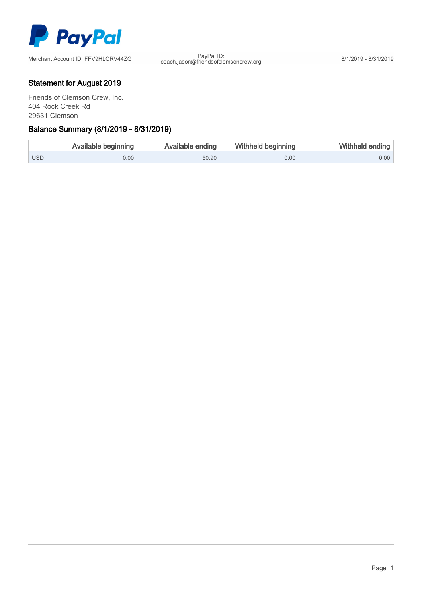

coach.jason@friendsofclemsoncrew.org 8/1/2019 - 8/31/2019

## Statement for August 2019

Friends of Clemson Crew, Inc. 404 Rock Creek Rd 29631 Clemson

## Γ Balance Summary (8/1/2019 - 8/31/2019)

|       | Available beginning | Available ending | <b>Withheld beginning</b> | Withheld ending   |
|-------|---------------------|------------------|---------------------------|-------------------|
| l USD | 0.00                | 50.90            | 0.00                      | 0.00 <sub>1</sub> |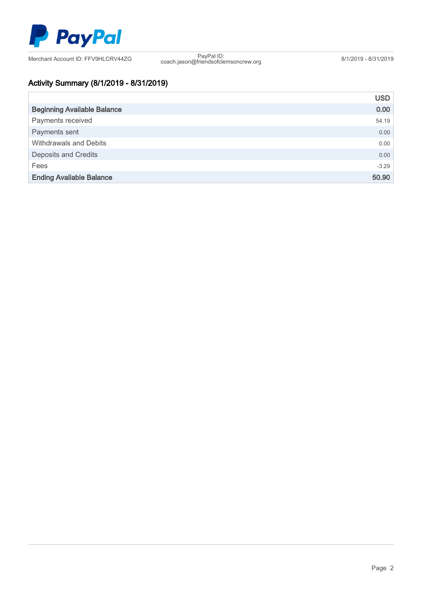

coach.jason@friendsofclemsoncrew.org 8/1/2019 - 8/31/2019

# Activity Summary (8/1/2019 - 8/31/2019)

|                                    | <b>USD</b>        |
|------------------------------------|-------------------|
| <b>Beginning Available Balance</b> | 0.00 <sub>1</sub> |
| Payments received                  | 54.19             |
| Payments sent                      | 0.00              |
| Withdrawals and Debits             | 0.00              |
| <b>Deposits and Credits</b>        | 0.00              |
| Fees                               | $-3.29$           |
| <b>Ending Available Balance</b>    | 50.90             |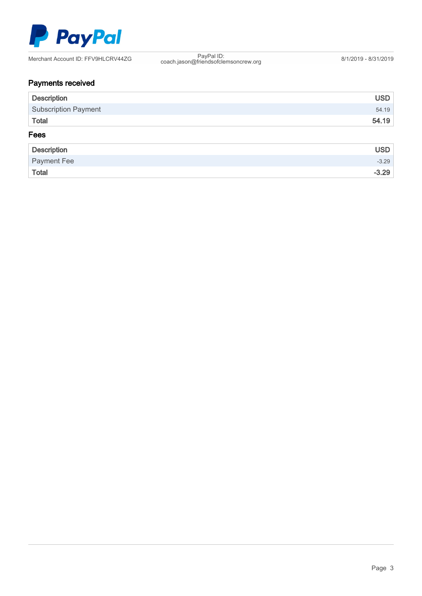

coach.jason@friendsofclemsoncrew.org 8/1/2019 - 8/31/2019

# Payments received

| <b>Description</b>          | <b>USD</b> |
|-----------------------------|------------|
| <b>Subscription Payment</b> | 54.19      |
| Total                       | 54.19      |
| Fees                        |            |
| <b>Description</b>          | <b>USD</b> |
| Payment Fee                 | $-3.29$    |
| Total                       | $-3.29$    |